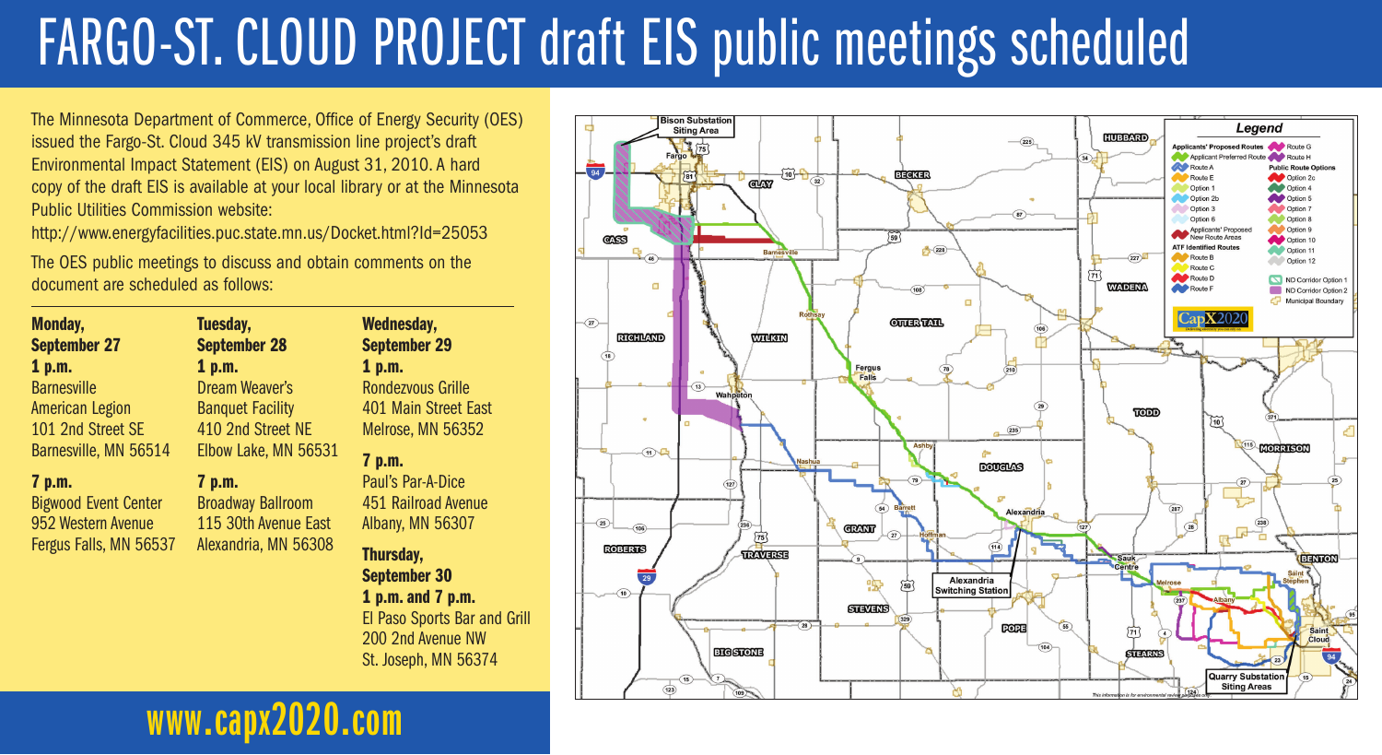# FARGO-ST. CLOUD PROJECT draft EIS public meetings scheduled

The Minnesota Department of Commerce, Office of Energy Security (OES) issued the Fargo-St. Cloud 345 kV transmission line project's draft Environmental Impact Statement (EIS) on August 31, 2010. A hard copy of the draft EIS is available at your local library or at the Minnesota Public Utilities Commission website:

http://www.energyfacilities.puc.state.mn.us/Docket.html?Id=25053

The OES public meetings to discuss and obtain comments on the document are scheduled as follows:

| Monday,                     | Tuesday,                 | <b>Wednesday,</b>                |
|-----------------------------|--------------------------|----------------------------------|
| <b>September 27</b>         | <b>September 28</b>      | <b>September 29</b>              |
| 1 p.m.                      | 1 p.m.                   | 1 p.m.                           |
| <b>Barnesville</b>          | <b>Dream Weaver's</b>    | Rondezvous Grille                |
| <b>American Legion</b>      | <b>Banquet Facility</b>  | 401 Main Street East             |
| 101 2nd Street SE           | 410 2nd Street NE        | Melrose, MN 56352                |
| Barnesville, MN 56514       | Elbow Lake, MN 56531     | 7 p.m.                           |
| 7 p.m.                      | 7 p.m.                   | Paul's Par-A-Dice                |
| <b>Bigwood Event Center</b> | <b>Broadway Ballroom</b> | 451 Railroad Avenue              |
| 952 Western Avenue          | 115 30th Avenue East     | Albany, MN 56307                 |
| Fergus Falls, MN 56537      | Alexandria, MN 56308     | Thursday,<br><b>September 30</b> |
|                             |                          |                                  |
|                             |                          | 1 p.m. and 7 p.m.                |
|                             |                          | El Paso Sports Bar and Grill     |
|                             |                          | 200 2nd Avenue NW                |
|                             |                          | St. Joseph, MN 56374             |



## **www.capx2020.com**